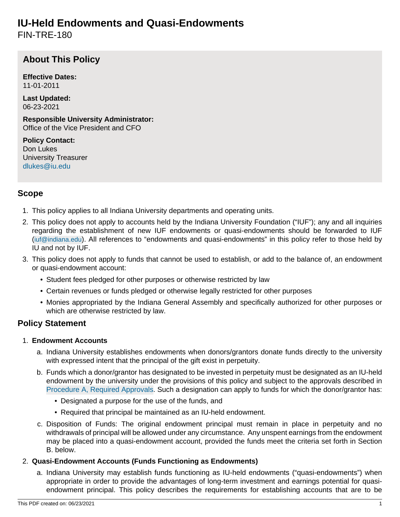# <span id="page-0-0"></span>**IU-Held Endowments and Quasi-Endowments**

FIN-TRE-180

# **About This Policy**

**Effective Dates:** 11-01-2011

**Last Updated:** 06-23-2021

**Responsible University Administrator:** Office of the Vice President and CFO

**Policy Contact:** Don Lukes University Treasurer [dlukes@iu.edu](mailto:dlukes@iu.edu)

### **Scope**

- 1. This policy applies to all Indiana University departments and operating units.
- 2. This policy does not apply to accounts held by the Indiana University Foundation ("IUF"); any and all inquiries regarding the establishment of new IUF endowments or quasi-endowments should be forwarded to IUF ([iuf@indiana.edu](mailto:iuf@indiana.edu)). All references to "endowments and quasi-endowments" in this policy refer to those held by IU and not by IUF.
- 3. This policy does not apply to funds that cannot be used to establish, or add to the balance of, an endowment or quasi-endowment account:
	- Student fees pledged for other purposes or otherwise restricted by law
	- Certain revenues or funds pledged or otherwise legally restricted for other purposes
	- Monies appropriated by the Indiana General Assembly and specifically authorized for other purposes or which are otherwise restricted by law.

#### **Policy Statement**

#### 1. **Endowment Accounts**

- a. Indiana University establishes endowments when donors/grantors donate funds directly to the university with expressed intent that the principal of the gift exist in perpetuity.
- b. Funds which a donor/grantor has designated to be invested in perpetuity must be designated as an IU-held endowment by the university under the provisions of this policy and subject to the approvals described in [Procedure A, Required Approvals.](#page-1-0) Such a designation can apply to funds for which the donor/grantor has:
	- Designated a purpose for the use of the funds, and
	- Required that principal be maintained as an IU-held endowment.
- c. Disposition of Funds: The original endowment principal must remain in place in perpetuity and no withdrawals of principal will be allowed under any circumstance. Any unspent earnings from the endowment may be placed into a quasi-endowment account, provided the funds meet the criteria set forth in Section B. below.

#### 2. **Quasi-Endowment Accounts (Funds Functioning as Endowments)**

a. Indiana University may establish funds functioning as IU-held endowments ("quasi-endowments") when appropriate in order to provide the advantages of long-term investment and earnings potential for quasiendowment principal. This policy describes the requirements for establishing accounts that are to be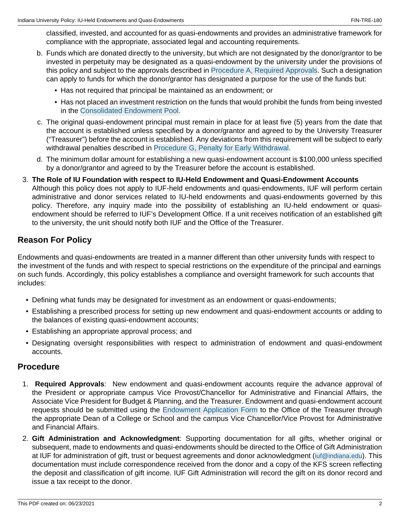classified, invested, and accounted for as quasi-endowments and provides an administrative framework for compliance with the appropriate, associated legal and accounting requirements.

- b. Funds which are donated directly to the university, but which are not designated by the donor/grantor to be invested in perpetuity may be designated as a quasi-endowment by the university under the provisions of this policy and subject to the approvals described in [Procedure A, Required Approvals](#page-1-0). Such a designation can apply to funds for which the donor/grantor has designated a purpose for the use of the funds but:
	- Has not required that principal be maintained as an endowment; or
	- Has not placed an investment restriction on the funds that would prohibit the funds from being invested in the [Consolidated Endowment Pool](#page-2-0).
- c. The original quasi-endowment principal must remain in place for at least five (5) years from the date that the account is established unless specified by a donor/grantor and agreed to by the University Treasurer ("Treasurer") before the account is established. Any deviations from this requirement will be subject to early withdrawal penalties described in [Procedure G, Penalty for Early Withdrawal](#page-2-1).
- d. The minimum dollar amount for establishing a new quasi-endowment account is \$100,000 unless specified by a donor/grantor and agreed to by the Treasurer before the account is established.
- 3. **The Role of IU Foundation with respect to IU-Held Endowment and Quasi-Endowment Accounts** Although this policy does not apply to IUF-held endowments and quasi-endowments, IUF will perform certain administrative and donor services related to IU-held endowments and quasi-endowments governed by this policy. Therefore, any inquiry made into the possibility of establishing an IU-held endowment or quasiendowment should be referred to IUF's Development Office. If a unit receives notification of an established gift to the university, the unit should notify both IUF and the Office of the Treasurer.

### **Reason For Policy**

Endowments and quasi-endowments are treated in a manner different than other university funds with respect to the investment of the funds and with respect to special restrictions on the expenditure of the principal and earnings on such funds. Accordingly, this policy establishes a compliance and oversight framework for such accounts that includes:

- Defining what funds may be designated for investment as an endowment or quasi-endowments;
- Establishing a prescribed process for setting up new endowment and quasi-endowment accounts or adding to the balances of existing quasi-endowment accounts;
- Establishing an appropriate approval process; and
- Designating oversight responsibilities with respect to administration of endowment and quasi-endowment accounts.

#### **Procedure**

- <span id="page-1-0"></span>1. **Required Approvals**: New endowment and quasi-endowment accounts require the advance approval of the President or appropriate campus Vice Provost/Chancellor for Administrative and Financial Affairs, the Associate Vice President for Budget & Planning, and the Treasurer. Endowment and quasi-endowment account requests should be submitted using the [Endowment Application Form](#page-0-0) to the Office of the Treasurer through the appropriate Dean of a College or School and the campus Vice Chancellor/Vice Provost for Administrative and Financial Affairs.
- 2. **Gift Administration and Acknowledgment**: Supporting documentation for all gifts, whether original or subsequent, made to endowments and quasi-endowments should be directed to the Office of Gift Administration at IUF for administration of gift, trust or bequest agreements and donor acknowledgment ([iuf@indiana.edu](mailto:iuf@indiana.edu)). This documentation must include correspondence received from the donor and a copy of the KFS screen reflecting the deposit and classification of gift income. IUF Gift Administration will record the gift on its donor record and issue a tax receipt to the donor.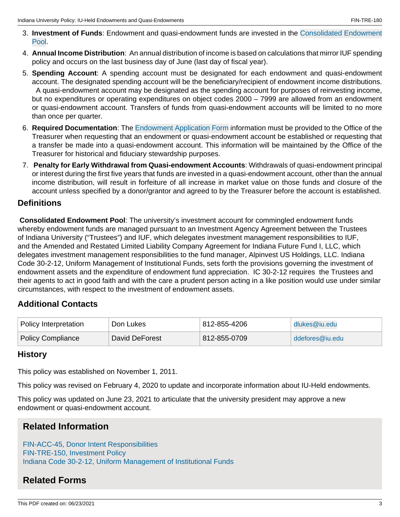- 3. **Investment of Funds**: Endowment and quasi-endowment funds are invested in the [Consolidated Endowment](#page-2-0) [Pool](#page-2-0).
- 4. **Annual Income Distribution**: An annual distribution of income is based on calculations that mirror IUF spending policy and occurs on the last business day of June (last day of fiscal year).
- 5. **Spending Account**: A spending account must be designated for each endowment and quasi-endowment account. The designated spending account will be the beneficiary/recipient of endowment income distributions. A quasi-endowment account may be designated as the spending account for purposes of reinvesting income, but no expenditures or operating expenditures on object codes 2000 – 7999 are allowed from an endowment or quasi-endowment account. Transfers of funds from quasi-endowment accounts will be limited to no more than once per quarter.
- 6. **Required Documentation**: The [Endowment Application Form](#page-0-0) information must be provided to the Office of the Treasurer when requesting that an endowment or quasi-endowment account be established or requesting that a transfer be made into a quasi-endowment account. This information will be maintained by the Office of the Treasurer for historical and fiduciary stewardship purposes.
- <span id="page-2-1"></span>7. **Penalty for Early Withdrawal from Quasi-endowment Accounts**: Withdrawals of quasi-endowment principal or interest during the first five years that funds are invested in a quasi-endowment account, other than the annual income distribution, will result in forfeiture of all increase in market value on those funds and closure of the account unless specified by a donor/grantor and agreed to by the Treasurer before the account is established.

#### **Definitions**

<span id="page-2-0"></span>**Consolidated Endowment Pool**: The university's investment account for commingled endowment funds whereby endowment funds are managed pursuant to an Investment Agency Agreement between the Trustees of Indiana University ("Trustees") and IUF, which delegates investment management responsibilities to IUF, and the Amended and Restated Limited Liability Company Agreement for Indiana Future Fund I, LLC, which delegates investment management responsibilities to the fund manager, Alpinvest US Holdings, LLC. Indiana Code 30-2-12, Uniform Management of Institutional Funds, sets forth the provisions governing the investment of endowment assets and the expenditure of endowment fund appreciation. IC 30-2-12 requires the Trustees and their agents to act in good faith and with the care a prudent person acting in a like position would use under similar circumstances, with respect to the investment of endowment assets.

#### **Additional Contacts**

| Policy Interpretation    | Don Lukes      | 812-855-4206 | dlukes@iu.edu   |
|--------------------------|----------------|--------------|-----------------|
| <b>Policy Compliance</b> | David DeForest | 812-855-0709 | ddefores@iu.edu |

#### **History**

This policy was established on November 1, 2011.

This policy was revised on February 4, 2020 to update and incorporate information about IU-Held endowments.

This policy was updated on June 23, 2021 to articulate that the university president may approve a new endowment or quasi-endowment account.

# **Related Information**

[FIN-ACC-45, Donor Intent Responsibilities](/policies/fin-acc-45-donor-intent-responsibilities/indexshort-display-namealternate-link-labelnavigation-setNonewide-pageNobody-classbody-idsite://IU-POLICY-WEBS.2020/policies/fin-acc-45-donor-intent-responsibilities/indexIU-POLICY-WEBS.2020indexDonor Intent ResponsibilitiesTitleI-45, donor, intent, responsibilities, responsibility, giftEstablishes responsibility for ensuring that gifts received for the benefit of IU are spent/utilized in accordance with the donor) [FIN-TRE-150, Investment Policy](/policies/fin-tre-150-investment/indexshort-display-namealternate-link-labelnavigation-setNonewide-pageNobody-classbody-idsite://IU-POLICY-WEBS.2020/policies/fin-tre-150-investment/indexIU-POLICY-WEBS.2020indexInvestment PolicyTitleVI-150, investment, investing, FIN-TRE-150Establishes principles to help IU effectively supervise, monitor, and evaluate investments of financial assets.) [Indiana Code 30-2-12, Uniform Management of Institutional Funds](https://law.justia.com/codes/indiana/2017/title-30/article-2/chapter-12/)

# **Related Forms**